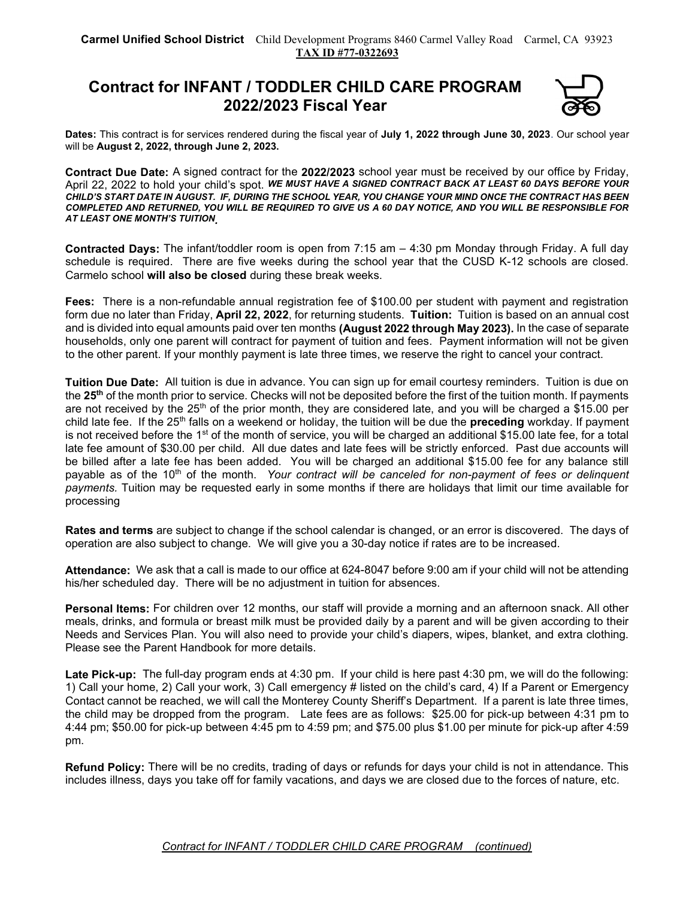## Contract for INFANT / TODDLER CHILD CARE PROGRAM 2022/2023 Fiscal Year



Dates: This contract is for services rendered during the fiscal year of July 1, 2022 through June 30, 2023. Our school year will be August 2, 2022, through June 2, 2023.

Contract Due Date: A signed contract for the 2022/2023 school year must be received by our office by Friday, April 22, 2022 to hold your child's spot. WE MUST HAVE A SIGNED CONTRACT BACK AT LEAST 60 DAYS BEFORE YOUR CHILD'S START DATE IN AUGUST. IF, DURING THE SCHOOL YEAR, YOU CHANGE YOUR MIND ONCE THE CONTRACT HAS BEEN COMPLETED AND RETURNED, YOU WILL BE REQUIRED TO GIVE US A 60 DAY NOTICE, AND YOU WILL BE RESPONSIBLE FOR AT LEAST ONE MONTH'S TUITION.

**Contracted Days:** The infant/toddler room is open from  $7:15$  am  $-4:30$  pm Monday through Friday. A full day schedule is required. There are five weeks during the school year that the CUSD K-12 schools are closed. Carmelo school will also be closed during these break weeks.

Fees: There is a non-refundable annual registration fee of \$100.00 per student with payment and registration form due no later than Friday, April 22, 2022, for returning students. Tuition: Tuition is based on an annual cost and is divided into equal amounts paid over ten months (August 2022 through May 2023). In the case of separate households, only one parent will contract for payment of tuition and fees. Payment information will not be given to the other parent. If your monthly payment is late three times, we reserve the right to cancel your contract.

Tuition Due Date: All tuition is due in advance. You can sign up for email courtesy reminders. Tuition is due on the 25<sup>th</sup> of the month prior to service. Checks will not be deposited before the first of the tuition month. If payments are not received by the 25<sup>th</sup> of the prior month, they are considered late, and you will be charged a \$15.00 per child late fee. If the  $25<sup>th</sup>$  falls on a weekend or holiday, the tuition will be due the **preceding** workday. If payment is not received before the 1<sup>st</sup> of the month of service, you will be charged an additional \$15.00 late fee, for a total late fee amount of \$30.00 per child. All due dates and late fees will be strictly enforced. Past due accounts will be billed after a late fee has been added. You will be charged an additional \$15.00 fee for any balance still payable as of the  $10<sup>th</sup>$  of the month. Your contract will be canceled for non-payment of fees or delinguent payments. Tuition may be requested early in some months if there are holidays that limit our time available for processing

Rates and terms are subject to change if the school calendar is changed, or an error is discovered. The days of operation are also subject to change. We will give you a 30-day notice if rates are to be increased.

Attendance: We ask that a call is made to our office at 624-8047 before 9:00 am if your child will not be attending his/her scheduled day. There will be no adjustment in tuition for absences.

Personal Items: For children over 12 months, our staff will provide a morning and an afternoon snack. All other meals, drinks, and formula or breast milk must be provided daily by a parent and will be given according to their Needs and Services Plan. You will also need to provide your child's diapers, wipes, blanket, and extra clothing. Please see the Parent Handbook for more details.

Late Pick-up: The full-day program ends at 4:30 pm. If your child is here past 4:30 pm, we will do the following: 1) Call your home, 2) Call your work, 3) Call emergency # listed on the child's card, 4) If a Parent or Emergency Contact cannot be reached, we will call the Monterey County Sheriff's Department. If a parent is late three times, the child may be dropped from the program. Late fees are as follows: \$25.00 for pick-up between 4:31 pm to 4:44 pm; \$50.00 for pick-up between 4:45 pm to 4:59 pm; and \$75.00 plus \$1.00 per minute for pick-up after 4:59 pm.

Refund Policy: There will be no credits, trading of days or refunds for days your child is not in attendance. This includes illness, days you take off for family vacations, and days we are closed due to the forces of nature, etc.